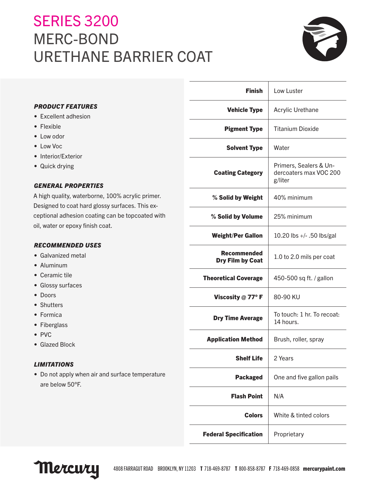# **SERIES 3200** MERC-BOND URETHANE BARRIER COAT



|                                                                                      | <b>Finish</b>                | Low Luster                                                  |
|--------------------------------------------------------------------------------------|------------------------------|-------------------------------------------------------------|
| <b>PRODUCT FEATURES</b>                                                              | <b>Vehicle Type</b>          | Acrylic Urethane                                            |
| • Excellent adhesion                                                                 |                              |                                                             |
| • Flexible                                                                           | <b>Pigment Type</b>          | <b>Titanium Dioxide</b>                                     |
| • Low odor                                                                           |                              |                                                             |
| • Low Voc                                                                            | <b>Solvent Type</b>          | Water                                                       |
| • Interior/Exterior                                                                  |                              |                                                             |
| • Quick drying                                                                       | <b>Coating Category</b>      | Primers, Sealers & Un-<br>dercoaters max VOC 200<br>g/liter |
| <b>GENERAL PROPERTIES</b>                                                            |                              |                                                             |
| A high quality, waterborne, 100% acrylic primer.                                     | % Solid by Weight            | 40% minimum                                                 |
| Designed to coat hard glossy surfaces. This ex-                                      |                              |                                                             |
| ceptional adhesion coating can be topcoated with<br>oil, water or epoxy finish coat. | % Solid by Volume            | 25% minimum                                                 |
|                                                                                      | <b>Weight/Per Gallon</b>     | 10.20 lbs +/- .50 lbs/gal                                   |
| <b>RECOMMENDED USES</b>                                                              | <b>Recommended</b>           |                                                             |
| • Galvanized metal                                                                   | <b>Dry Film by Coat</b>      | 1.0 to 2.0 mils per coat                                    |
| • Aluminum                                                                           |                              |                                                             |
| • Ceramic tile                                                                       | <b>Theoretical Coverage</b>  | 450-500 sq ft. / gallon                                     |
| • Glossy surfaces                                                                    |                              |                                                             |
| • Doors<br>• Shutters                                                                | Viscosity $@$ 77° F          | 80-90 KU                                                    |
| • Formica                                                                            |                              | To touch: 1 hr. To recoat:                                  |
| • Fiberglass                                                                         | <b>Dry Time Average</b>      | 14 hours.                                                   |
| • PVC                                                                                |                              |                                                             |
| • Glazed Block                                                                       | <b>Application Method</b>    | Brush, roller, spray                                        |
| <b>LIMITATIONS</b>                                                                   | <b>Shelf Life</b>            | 2 Years                                                     |
| • Do not apply when air and surface temperature                                      | <b>Packaged</b>              | One and five gallon pails                                   |
| are below 50°F.                                                                      |                              |                                                             |
|                                                                                      | <b>Flash Point</b>           | N/A                                                         |
|                                                                                      | <b>Colors</b>                | White & tinted colors                                       |
|                                                                                      | <b>Federal Specification</b> | Proprietary                                                 |